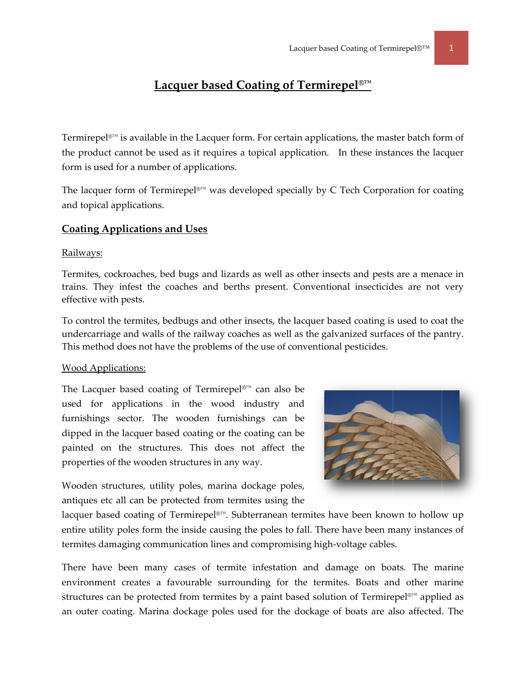# $\blacksquare$  **Lacquer based Coating of Termirepel®™**

Termirepel®™ is available in the Lacquer form. For certain applications, the master batch form of the product cannot be used as it requires a topical application. In these instances the lacquer form is used for a number of applications.

The lacquer form of Termirepel®™ was developed specially by C Tech Corporation for coating and topical applications.

## **Coating g Applicatio ons and Us ses**

#### <u>Railways:</u>

Termites, cockroaches, bed bugs and lizards as well as other insects and pests are a menace in trains. They infest the coaches and berths present. Conventional insecticides are not very effective with pests.

To control the termites, bedbugs and other insects, the lacquer based coating is used to coat the undercarriage and walls of the railway coaches as well as the galvanized surfaces of the pantry. This method does not have the problems of the use of conventional pesticides.

### <u>Wood Applications:</u>

The Lacquer based coating of Termirepel®™ can also be used for applications in the wood industry and furnishings sector. The wooden furnishings can be dipped in the lacquer based coating or the coating can be painted on the structures. This does not affect the properties of the wooden structures in any way.



Wooden structures, utility poles, marina dockage poles, antiques etc all can be protected from termites using the

lacquer based coating of Termirepel®™. Subterranean termites have been known to hollow up entire utility poles form the inside causing the poles to fall. There have been many instances of termites damaging communication lines and compromising high-voltage cables.

There have been many cases of termite infestation and damage on boats. The marine environment creates a favourable surrounding for the termites. Boats and other marine structures can be protected from termites by a paint based solution of Termirepel®™ applied as an outer coating. Marina dockage poles used for the dockage of boats are also affected. The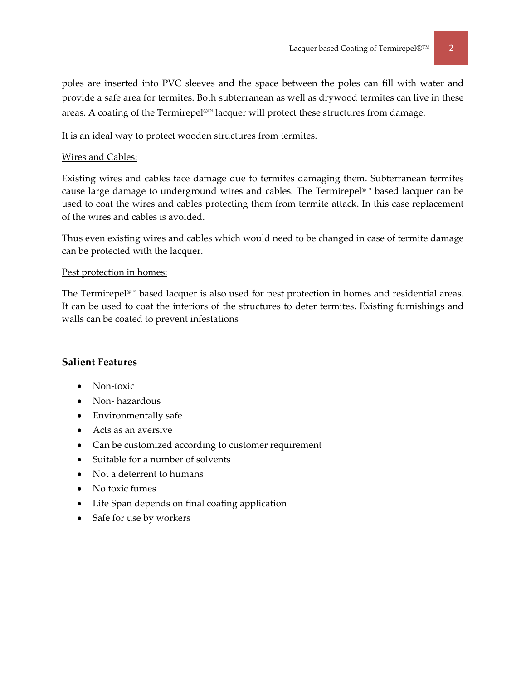poles are inserted into PVC sleeves and the space between the poles can fill with water and provide a safe area for termites. Both subterranean as well as drywood termites can live in these areas. A coating of the Termirepel®™ lacquer will protect these structures from damage.

It is an ideal way to protect wooden structures from termites.

#### Wires and Cables:

Existing wires and cables face damage due to termites damaging them. Subterranean termites cause large damage to underground wires and cables. The Termirepel®™ based lacquer can be used to coat the wires and cables protecting them from termite attack. In this case replacement of the wires and cables is avoided.

Thus even existing wires and cables which would need to be changed in case of termite damage can be protected with the lacquer.

### Pest protection in homes:

The Termirepel®™ based lacquer is also used for pest protection in homes and residential areas. It can be used to coat the interiors of the structures to deter termites. Existing furnishings and walls can be coated to prevent infestations

## **Salient Features**

- Non-toxic
- Non-hazardous
- Environmentally safe
- Acts as an aversive
- Can be customized according to customer requirement
- Suitable for a number of solvents
- Not a deterrent to humans
- No toxic fumes
- Life Span depends on final coating application
- Safe for use by workers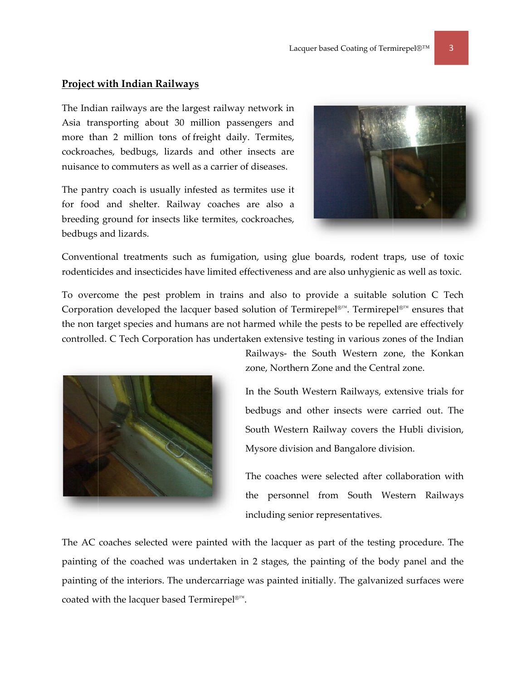#### **Project with Indian Railways**

The Indian railways are the largest railway network in Asia transporting about 30 million passengers and more than 2 million tons of freight daily. Termites, cockroaches, bedbugs, lizards and other insects are nuisance to commuters as well as a carrier of diseases.

The pantry coach is usually infested as termites use it for food and shelter. Railway coaches are also a breeding ground for insects like termites, cockroaches, bedbugs and lizards.



Conventional treatments such as fumigation, using glue boards, rodent traps, use of toxic rodenticides and insecticides have limited effectiveness and are also unhygienic as well as toxic.

To overcome the pest problem in trains and also to provide a suitable solution C Tech Corporation developed the lacquer based solution of Termirepel<sup>®™</sup>. Termirepel<sup>®™</sup> ensures that the non target species and humans are not harmed while the pests to be repelled are effectively controlled. C Tech Corporation has undertaken extensive testing in various zones of the Indian



Railways- the South Western zone, the Konkan zone, Northern Zone and the Central zone.

In the South Western Railways, extensive trials for bedbugs and other insects were carried out. The South Western Railway covers the Hubli division, Mysore division and Bangalore division.

The coaches were selected after collaboration with the personnel from South Western Railways including senior representatives.

The AC coaches selected were painted with the lacquer as part of the testing procedure. The painting of the coached was undertaken in 2 stages, the painting of the body panel and the painting of the interiors. The undercarriage was painted initially. The galvanized surfaces were coated with the lacquer based Termirepel<sup>®™</sup>.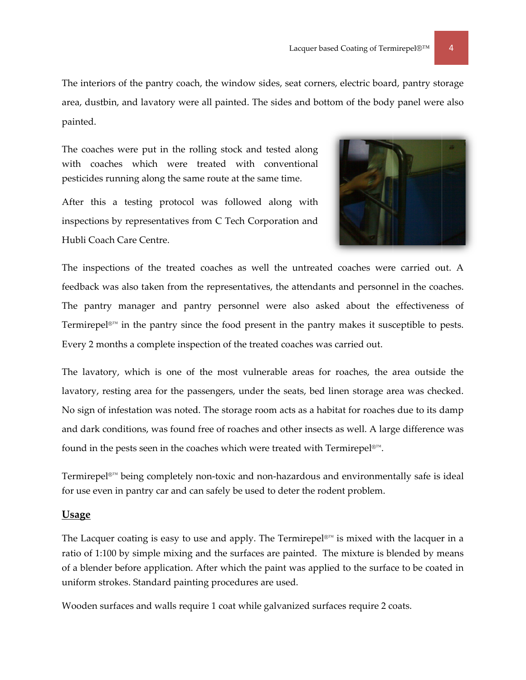The interiors of the pantry coach, the window sides, seat corners, electric board, pantry storage area, dustbin, and lavatory were all painted. The sides and bottom of the body panel were also painted.

The coaches were put in the rolling stock and tested along with coaches which were treated with conventional pesticides running along the same route at the same time.

After this a testing protocol was followed along with inspections by representatives from C Tech Corporation and Hubli Coach Care Centre.



The inspections of the treated coaches as well the untreated coaches were carried out. A feedback was also taken from the representatives, the attendants and personnel in the coaches. The pantry manager and pantry personnel were also asked about the effectiveness of Termirepel<sup>®™</sup> in the pantry since the food present in the pantry makes it susceptible to pests. Every 2 months a complete inspection of the treated coaches was carried out.

The lavatory, which is one of the most vulnerable areas for roaches, the area outside the lavatory, resting area for the passengers, under the seats, bed linen storage area was checked. No sign of infestation was noted. The storage room acts as a habitat for roaches due to its damp and dark conditions, was found free of roaches and other insects as well. A large difference was found in the pests seen in the coaches which were treated with Termirepel<sup>®™</sup>.

Termirepel<sup>®™</sup> being completely non-toxic and non-hazardous and environmentally safe is ideal for use even in pantry car and can safely be used to deter the rodent problem.

#### **Usage**

The Lacquer coating is easy to use and apply. The Termirepel<sup>®™</sup> is mixed with the lacquer in a ratio of 1:100 by simple mixing and the surfaces are painted. The mixture is blended by means of a blender before application. After which the paint was applied to the surface to be coated in uniform strokes. Standard painting procedures are used.

Wooden surfaces and walls require 1 coat while galvanized surfaces require 2 coats.